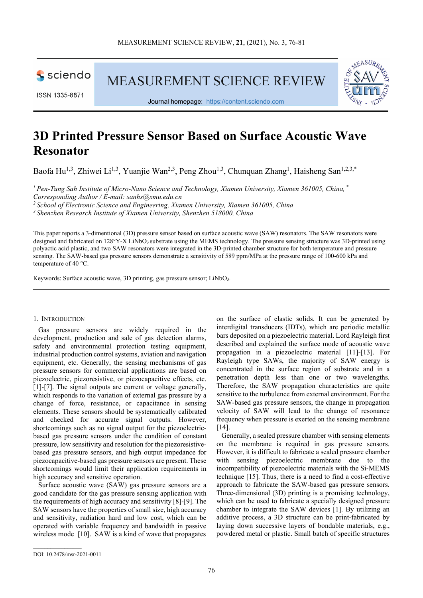

ISSN 1335-8871

MEASUREMENT SCIENCE REVIEW



Journal homepage: [https://content.sciendo.com](https://content.sciendo.com/view/journals/msr/msr-overview.xml)

# **3D Printed Pressure Sensor Based on Surface Acoustic Wave Resonator**

Baofa Hu<sup>1,3</sup>, Zhiwei Li<sup>1,3</sup>, Yuanjie Wan<sup>2,3</sup>, Peng Zhou<sup>1,3</sup>, Chunquan Zhang<sup>1</sup>, Haisheng San<sup>1,2,3,\*</sup>

*1 Pen-Tung Sah Institute of Micro-Nano Science and Technology, Xiamen University, Xiamen 361005, China, \* Corresponding Author / E-mail: sanhs@xmu.edu.cn*

*2 School of Electronic Science and Engineering, Xiamen University, Xiamen 361005, China*

*3 Shenzhen Research Institute of Xiamen University, Shenzhen 518000, China*

This paper reports a 3-dimentional (3D) pressure sensor based on surface acoustic wave (SAW) resonators. The SAW resonators were designed and fabricated on 128°Y-X LiNbO3 substrate using the MEMS technology. The pressure sensing structure was 3D-printed using polyactic acid plastic, and two SAW resonators were integrated in the 3D-printed chamber structure for both temperature and pressure sensing. The SAW-based gas pressure sensors demonstrate a sensitivity of 589 ppm/MPa at the pressure range of 100-600 kPa and temperature of 40 °C.

Keywords: Surface acoustic wave, 3D printing, gas pressure sensor; LiNbO<sub>3</sub>.

#### 1. INTRODUCTION

Gas pressure sensors are widely required in the development, production and sale of gas detection alarms, safety and environmental protection testing equipment, industrial production control systems, aviation and navigation equipment, etc. Generally, the sensing mechanisms of gas pressure sensors for commercial applications are based on piezoelectric, piezoresistive, or piezocapacitive effects, etc. [1]-[7]. The signal outputs are current or voltage generally, which responds to the variation of external gas pressure by a change of force, resistance, or capacitance in sensing elements. These sensors should be systematically calibrated and checked for accurate signal outputs. However, shortcomings such as no signal output for the piezoelectricbased gas pressure sensors under the condition of constant pressure, low sensitivity and resolution for the piezoresistivebased gas pressure sensors, and high output impedance for piezocapacitive-based gas pressure sensors are present. These shortcomings would limit their application requirements in high accuracy and sensitive operation.

Surface acoustic wave (SAW) gas pressure sensors are a good candidate for the gas pressure sensing application with the requirements of high accuracy and sensitivity [8]-[9]. The SAW sensors have the properties of small size, high accuracy and sensitivity, radiation hard and low cost, which can be operated with variable frequency and bandwidth in passive wireless mode [10]. SAW is a kind of wave that propagates

on the surface of elastic solids. It can be generated by interdigital transducers (IDTs), which are periodic metallic bars deposited on a piezoelectric material. Lord Rayleigh first described and explained the surface mode of acoustic wave propagation in a piezoelectric material [11]-[13]. For Rayleigh type SAWs, the majority of SAW energy is concentrated in the surface region of substrate and in a penetration depth less than one or two wavelengths. Therefore, the SAW propagation characteristics are quite sensitive to the turbulence from external environment. For the SAW-based gas pressure sensors, the change in propagation velocity of SAW will lead to the change of resonance frequency when pressure is exerted on the sensing membrane  $[14]$ .

Generally, a sealed pressure chamber with sensing elements on the membrane is required in gas pressure sensors. However, it is difficult to fabricate a sealed pressure chamber with sensing piezoelectric membrane due to the incompatibility of piezoelectric materials with the Si-MEMS technique [15]. Thus, there is a need to find a cost-effective approach to fabricate the SAW-based gas pressure sensors. Three-dimensional (3D) printing is a promising technology, which can be used to fabricate a specially designed pressure chamber to integrate the SAW devices [1]. By utilizing an additive process, a 3D structure can be print-fabricated by laying down successive layers of bondable materials, e.g., powdered metal or plastic. Small batch of specific structures

 $\mathcal{L}_\text{max}$  and  $\mathcal{L}_\text{max}$  and  $\mathcal{L}_\text{max}$ 

DOI: 10.2478/msr-2021-0011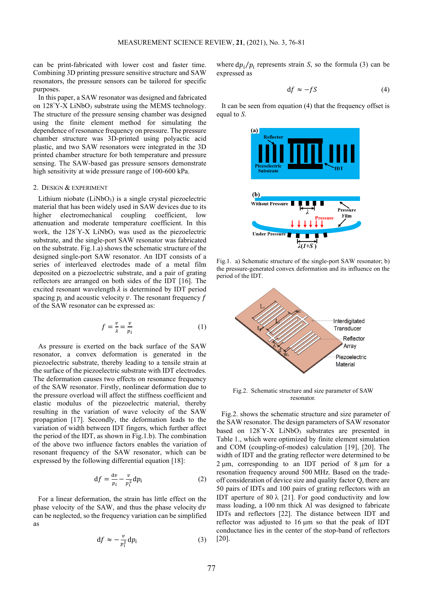can be print-fabricated with lower cost and faster time. Combining 3D printing pressure sensitive structure and SAW resonators, the pressure sensors can be tailored for specific purposes.

In this paper, a SAW resonator was designed and fabricated on 128°Y-X LiNbO<sub>3</sub> substrate using the MEMS technology. The structure of the pressure sensing chamber was designed using the finite element method for simulating the dependence of resonance frequency on pressure. The pressure chamber structure was 3D-printed using polyactic acid plastic, and two SAW resonators were integrated in the 3D printed chamber structure for both temperature and pressure sensing. The SAW-based gas pressure sensors demonstrate high sensitivity at wide pressure range of 100-600 kPa.

#### 2. DESIGN & EXPERIMENT

Lithium niobate  $(LiNbO<sub>3</sub>)$  is a single crystal piezoelectric material that has been widely used in SAW devices due to its higher electromechanical coupling coefficient, low attenuation and moderate temperature coefficient. In this work, the 128°Y-X LiNbO<sub>3</sub> was used as the piezoelectric substrate, and the single-port SAW resonator was fabricated on the substrate. Fig.1.a) shows the schematic structure of the designed single-port SAW resonator. An IDT consists of a series of interleaved electrodes made of a metal film deposited on a piezoelectric substrate, and a pair of grating reflectors are arranged on both sides of the IDT [16]. The excited resonant wavelength  $\lambda$  is determined by IDT period spacing  $p_i$  and acoustic velocity  $\nu$ . The resonant frequency  $f$ of the SAW resonator can be expressed as:

$$
f = \frac{v}{\lambda} = \frac{v}{p_i} \tag{1}
$$

As pressure is exerted on the back surface of the SAW resonator, a convex deformation is generated in the piezoelectric substrate, thereby leading to a tensile strain at the surface of the piezoelectric substrate with IDT electrodes. The deformation causes two effects on resonance frequency of the SAW resonator. Firstly, nonlinear deformation due to the pressure overload will affect the stiffness coefficient and elastic modulus of the piezoelectric material, thereby resulting in the variation of wave velocity of the SAW propagation [17]. Secondly, the deformation leads to the variation of width between IDT fingers, which further affect the period of the IDT, as shown in Fig.1.b). The combination of the above two influence factors enables the variation of resonant frequency of the SAW resonator, which can be expressed by the following differential equation [18]:

$$
df = \frac{dv}{p_i} - \frac{v}{p_i^2} dp_i \tag{2}
$$

For a linear deformation, the strain has little effect on the phase velocity of the SAW, and thus the phase velocity  $dv$ can be neglected, so the frequency variation can be simplified as

$$
df \approx -\frac{v}{p_i^2} dp_i \tag{3}
$$

where  $dp_i/p_i$  represents strain *S*, so the formula (3) can be expressed as

$$
df \approx -fS \tag{4}
$$

It can be seen from equation (4) that the frequency offset is equal to *S*.



Fig.1. a) Schematic structure of the single-port SAW resonator; b) the pressure-generated convex deformation and its influence on the period of the IDT.



Fig.2. Schematic structure and size parameter of SAW resonator.

Fig.2. shows the schematic structure and size parameter of the SAW resonator. The design parameters of SAW resonator based on 128°Y-X LiNbO<sub>3</sub> substrates are presented in Table 1., which were optimized by finite element simulation and COM (coupling-of-modes) calculation [19], [20]. The width of IDT and the grating reflector were determined to be  $2 \mu m$ , corresponding to an IDT period of  $8 \mu m$  for a resonation frequency around 500 MHz. Based on the tradeoff consideration of device size and quality factor Q, there are 50 pairs of IDTs and 100 pairs of grating reflectors with an IDT aperture of 80  $\lambda$  [21]. For good conductivity and low mass loading, a 100 nm thick Al was designed to fabricate IDTs and reflectors [22]. The distance between IDT and reflector was adjusted to 16 µm so that the peak of IDT conductance lies in the center of the stop-band of reflectors [20].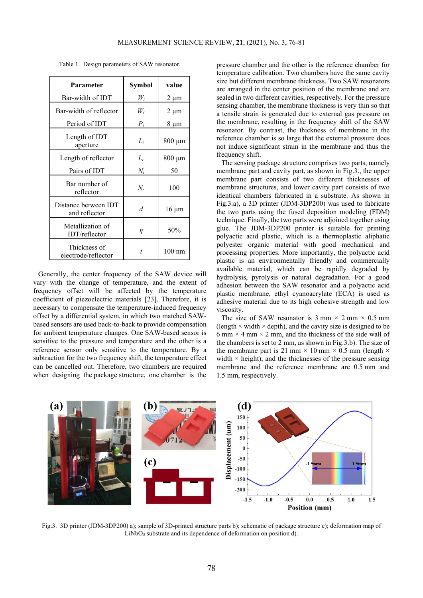| Parameter                             | Symbol | value            |
|---------------------------------------|--------|------------------|
| Bar-width of IDT                      | $W_i$  | $2 \mu m$        |
| Bar-width of reflector                | $W_r$  | 2 µm             |
| Period of IDT                         | $P_i$  | 8 µm             |
| Length of IDT<br>aperture             | $L_i$  | $800 \mu m$      |
| Length of reflector                   | $L_r$  | $800 \mu m$      |
| Pairs of IDT                          | $N_i$  | 50               |
| Bar number of<br>reflector            | $N_r$  | 100              |
| Distance between IDT<br>and reflector | d      | $16 \mu m$       |
| Metallization of<br>IDT/reflectron    | η      | 50%              |
| Thickness of<br>electrode/reflector   | t      | $100 \text{ nm}$ |

Table 1. Design parameters of SAW resonator.

Generally, the center frequency of the SAW device will vary with the change of temperature, and the extent of frequency offset will be affected by the temperature coefficient of piezoelectric materials [23]. Therefore, it is necessary to compensate the temperature-induced frequency offset by a differential system, in which two matched SAWbased sensors are used back-to-back to provide compensation for ambient temperature changes. One SAW-based sensor is sensitive to the pressure and temperature and the other is a reference sensor only sensitive to the temperature. By a subtraction for the two frequency shift, the temperature effect can be cancelled out. Therefore, two chambers are required when designing the package structure, one chamber is the

pressure chamber and the other is the reference chamber for temperature calibration. Two chambers have the same cavity size but different membrane thickness. Two SAW resonators are arranged in the center position of the membrane and are sealed in two different cavities, respectively. For the pressure sensing chamber, the membrane thickness is very thin so that a tensile strain is generated due to external gas pressure on the membrane, resulting in the frequency shift of the SAW resonator. By contrast, the thickness of membrane in the reference chamber is so large that the external pressure does not induce significant strain in the membrane and thus the frequency shift.

The sensing package structure comprises two parts, namely membrane part and cavity part, as shown in Fig.3., the upper membrane part consists of two different thicknesses of membrane structures, and lower cavity part consists of two identical chambers fabricated in a substrate. As shown in Fig.3.a), a 3D printer (JDM-3DP200) was used to fabricate the two parts using the fused deposition modeling (FDM) technique. Finally, the two parts were adjoined together using glue. The JDM-3DP200 printer is suitable for printing polyactic acid plastic, which is a thermoplastic aliphatic polyester organic material with good mechanical and processing properties. More importantly, the polyactic acid plastic is an environmentally friendly and commercially available material, which can be rapidly degraded by hydrolysis, pyrolysis or natural degradation. For a good adhesion between the SAW resonator and a polyactic acid plastic membrane, ethyl cyanoacrylate (ECA) is used as adhesive material due to its high cohesive strength and low viscosity.

The size of SAW resonator is  $3 \text{ mm} \times 2 \text{ mm} \times 0.5 \text{ mm}$ (length  $\times$  width  $\times$  depth), and the cavity size is designed to be 6 mm  $\times$  4 mm  $\times$  2 mm, and the thickness of the side wall of the chambers is set to 2 mm, as shown in Fig.3.b). The size of the membrane part is 21 mm  $\times$  10 mm  $\times$  0.5 mm (length  $\times$ width  $\times$  height), and the thicknesses of the pressure sensing membrane and the reference membrane are 0.5 mm and 1.5 mm, respectively.



Fig.3. 3D printer (JDM-3DP200) a); sample of 3D-printed structure parts b); schematic of package structure c); deformation map of LiNbO<sub>3</sub> substrate and its dependence of deformation on position d).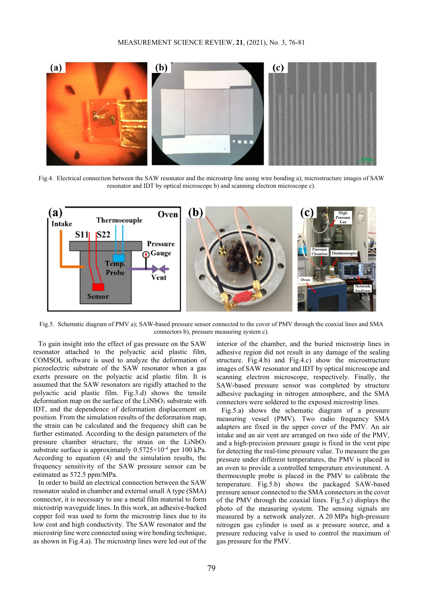

Fig.4. Electrical connection between the SAW resonator and the microstrip line using wire bonding a); microstructure images of SAW resonator and IDT by optical microscope b) and scanning electron microscope c).



Fig.5. Schematic diagram of PMV a); SAW-based pressure sensor connected to the cover of PMV through the coaxial lines and SMA connectors b), pressure measuring system c).

To gain insight into the effect of gas pressure on the SAW resonator attached to the polyactic acid plastic film, COMSOL software is used to analyze the deformation of piezoelectric substrate of the SAW resonator when a gas exerts pressure on the polyactic acid plastic film. It is assumed that the SAW resonators are rigidly attached to the polyactic acid plastic film. Fig.3.d) shows the tensile deformation map on the surface of the  $LiNbO<sub>3</sub>$  substrate with IDT, and the dependence of deformation displacement on position. From the simulation results of the deformation map, the strain can be calculated and the frequency shift can be further estimated. According to the design parameters of the pressure chamber structure, the strain on the  $LiNbO<sub>3</sub>$ substrate surface is approximately  $0.5725 \times 10^{-4}$  per 100 kPa. According to equation (4) and the simulation results, the frequency sensitivity of the SAW pressure sensor can be estimated as 572.5 ppm/MPa.

In order to build an electrical connection between the SAW resonator sealed in chamber and external small A type (SMA) connector, it is necessary to use a metal film material to form microstrip waveguide lines. In this work, an adhesive-backed copper foil was used to form the microstrip lines due to its low cost and high conductivity. The SAW resonator and the microstrip line were connected using wire bonding technique, as shown in Fig.4.a). The microstrip lines were led out of the

interior of the chamber, and the buried microstrip lines in adhesive region did not result in any damage of the sealing structure. Fig.4.b) and Fig.4.c) show the microstructure images of SAW resonator and IDT by optical microscope and scanning electron microscope, respectively. Finally, the SAW-based pressure sensor was completed by structure adhesive packaging in nitrogen atmosphere, and the SMA connectors were soldered to the exposed microstrip lines.

Fig.5.a) shows the schematic diagram of a pressure measuring vessel (PMV). Two radio frequency SMA adapters are fixed in the upper cover of the PMV. An air intake and an air vent are arranged on two side of the PMV, and a high-precision pressure gauge is fixed in the vent pipe for detecting the real-time pressure value. To measure the gas pressure under different temperatures, the PMV is placed in an oven to provide a controlled temperature environment. A thermocouple probe is placed in the PMV to calibrate the temperature. Fig.5.b) shows the packaged SAW-based pressure sensor connected to the SMA connectors in the cover of the PMV through the coaxial lines. Fig.5.c) displays the photo of the measuring system. The sensing signals are measured by a network analyzer. A 20 MPa high-pressure nitrogen gas cylinder is used as a pressure source, and a pressure reducing valve is used to control the maximum of gas pressure for the PMV.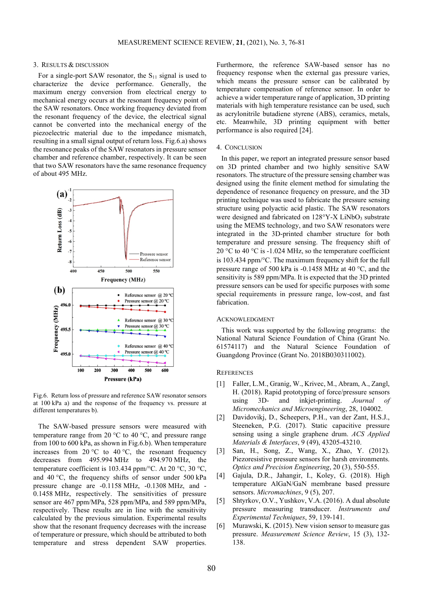#### 3. RESULTS & DISCUSSION

For a single-port SAW resonator, the  $S_{11}$  signal is used to characterize the device performance. Generally, the maximum energy conversion from electrical energy to mechanical energy occurs at the resonant frequency point of the SAW resonators. Once working frequency deviated from the resonant frequency of the device, the electrical signal cannot be converted into the mechanical energy of the piezoelectric material due to the impedance mismatch, resulting in a small signal output of return loss. Fig.6.a) shows the resonance peaks of the SAW resonators in pressure sensor chamber and reference chamber, respectively. It can be seen that two SAW resonators have the same resonance frequency of about 495 MHz.



Fig.6. Return loss of pressure and reference SAW resonator sensors at 100 kPa a) and the response of the frequency vs. pressure at different temperatures b).

The SAW-based pressure sensors were measured with temperature range from 20  $\degree$ C to 40  $\degree$ C, and pressure range from 100 to 600 kPa, as shown in Fig.6.b). When temperature increases from 20 °C to 40 °C, the resonant frequency decreases from 495.994 MHz to 494.970 MHz, the temperature coefficient is 103.434 ppm/°C. At 20 °C, 30 °C, and 40 °C, the frequency shifts of sensor under 500 kPa pressure change are -0.1158 MHz, -0.1308 MHz, and - 0.1458 MHz, respectively. The sensitivities of pressure sensor are 467 ppm/MPa, 528 ppm/MPa, and 589 ppm/MPa, respectively. These results are in line with the sensitivity calculated by the previous simulation. Experimental results show that the resonant frequency decreases with the increase of temperature or pressure, which should be attributed to both temperature and stress dependent SAW properties. Furthermore, the reference SAW-based sensor has no frequency response when the external gas pressure varies, which means the pressure sensor can be calibrated by temperature compensation of reference sensor. In order to achieve a wider temperature range of application, 3D printing materials with high temperature resistance can be used, such as acrylonitrile butadiene styrene (ABS), ceramics, metals, etc. Meanwhile, 3D printing equipment with better performance is also required [24].

#### 4. CONCLUSION

In this paper, we report an integrated pressure sensor based on 3D printed chamber and two highly sensitive SAW resonators. The structure of the pressure sensing chamber was designed using the finite element method for simulating the dependence of resonance frequency on pressure, and the 3D printing technique was used to fabricate the pressure sensing structure using polyactic acid plastic. The SAW resonators were designed and fabricated on  $128^{\circ}$ Y-X LiNbO<sub>3</sub> substrate using the MEMS technology, and two SAW resonators were integrated in the 3D-printed chamber structure for both temperature and pressure sensing. The frequency shift of 20 °C to 40 °C is -1.024 MHz, so the temperature coefficient is 103.434 ppm/°C. The maximum frequency shift for the full pressure range of 500 kPa is -0.1458 MHz at 40 °C, and the sensitivity is 589 ppm/MPa. It is expected that the 3D printed pressure sensors can be used for specific purposes with some special requirements in pressure range, low-cost, and fast fabrication.

### ACKNOWLEDGMENT

This work was supported by the following programs: the National Natural Science Foundation of China (Grant No. 61574117) and the Natural Science Foundation of Guangdong Province (Grant No. 2018B030311002).

## **REFERENCES**

- [1] Faller, L.M., Granig, W., Krivec, M., Abram, A., Zangl, H. (2018). Rapid prototyping of force/pressure sensors using 3D- and inkjet-printing. *Journal of Micromechanics and Microengineering*, 28, 104002.
- [2] Davidovikj, D., Scheepers, P.H., van der Zant, H.S.J., Steeneken, P.G. (2017). Static capacitive pressure sensing using a single graphene drum. *ACS Applied Materials & Interfaces*, 9 (49), 43205-43210.
- [3] San, H., Song, Z., Wang, X., Zhao, Y. (2012). Piezoresistive pressure sensors for harsh environments. *Optics and Precision Engineering*, 20 (3), 550-555.
- [4] Gajula, D.R., Jahangir, I., Koley, G. (2018). High temperature AlGaN/GaN membrane based pressure sensors. *Micromachines*, 9 (5), 207.
- [5] Shtyrkov, O.V., Yushkov, V.A. (2016). A dual absolute pressure measuring transducer. *Instruments and Experimental Techniques*, 59, 139-141.
- [6] Murawski, K. (2015). New vision sensor to measure gas pressure. *Measurement Science Review*, 15 (3), 132- 138.